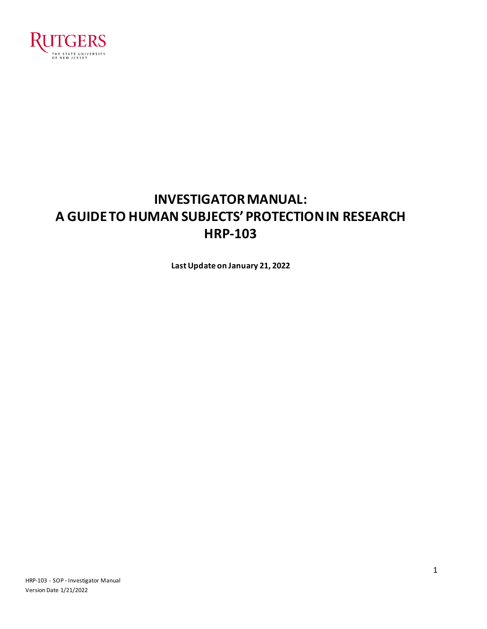

# **INVESTIGATOR MANUAL: A GUIDE TO HUMAN SUBJECTS' PROTECTION IN RESEARCH HRP-103**

**Last Update on January 21, 2022**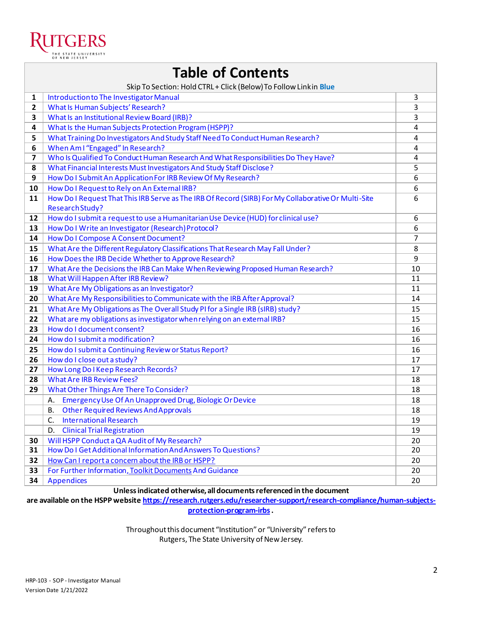

| <b>Table of Contents</b> |  |
|--------------------------|--|
|--------------------------|--|

|                         | Skip To Section: Hold CTRL + Click (Below) To Follow Linkin Blue                                                       |                |
|-------------------------|------------------------------------------------------------------------------------------------------------------------|----------------|
| 1                       | Introduction to The Investigator Manual                                                                                | 3              |
| $\mathbf{2}$            | <b>What Is Human Subjects' Research?</b>                                                                               | 3              |
| 3                       | What Is an Institutional Review Board (IRB)?                                                                           | 3              |
| 4                       | What Is the Human Subjects Protection Program (HSPP)?                                                                  | $\overline{4}$ |
| 5                       | What Training Do Investigators And Study Staff Need To Conduct Human Research?                                         | 4              |
| 6                       | When Am I "Engaged" In Research?                                                                                       | 4              |
| $\overline{\mathbf{z}}$ | Who Is Qualified To Conduct Human Research And What Responsibilities Do They Have?                                     | $\overline{4}$ |
| 8                       | What Financial Interests Must Investigators And Study Staff Disclose?                                                  | 5              |
| 9                       | How Do I Submit An Application For IRB Review Of My Research?                                                          | 6              |
| 10                      | How Do I Request to Rely on An External IRB?                                                                           | 6              |
| 11                      | How Do I Request That This IRB Serve as The IRB Of Record (SIRB) For My Collaborative Or Multi-Site<br>Research Study? | 6              |
| 12                      | How do I submit a request to use a Humanitarian Use Device (HUD) for clinical use?                                     | 6              |
| 13                      | How Do I Write an Investigator (Research) Protocol?                                                                    | 6              |
| 14                      | How Do I Compose A Consent Document?                                                                                   | 7              |
| 15                      | What Are the Different Regulatory Classifications That Research May Fall Under?                                        | 8              |
| 16                      | How Does the IRB Decide Whether to Approve Research?                                                                   | 9              |
| 17                      | What Are the Decisions the IRB Can Make When Reviewing Proposed Human Research?                                        | 10             |
| 18                      | What Will Happen After IRB Review?                                                                                     | 11             |
| 19                      | What Are My Obligations as an Investigator?                                                                            | 11             |
| 20                      | What Are My Responsibilities to Communicate with the IRB After Approval?                                               | 14             |
| 21                      | What Are My Obligations as The Overall Study PI for a Single IRB (sIRB) study?                                         | 15             |
| 22                      | What are my obligations as investigator when relying on an external IRB?                                               | 15             |
| 23                      | How do I document consent?                                                                                             | 16             |
| 24                      | How do I submit a modification?                                                                                        | 16             |
| 25                      | How do I submit a Continuing Review or Status Report?                                                                  | 16             |
| 26                      | How do I close out a study?                                                                                            | 17             |
| 27                      | How Long Do I Keep Research Records?                                                                                   | 17             |
| 28                      | <b>What Are IRB Review Fees?</b>                                                                                       | 18             |
| 29                      | What Other Things Are There To Consider?                                                                               | 18             |
|                         | A. Emergency Use Of An Unapproved Drug, Biologic Or Device                                                             | 18             |
|                         | <b>Other Required Reviews And Approvals</b><br><b>B.</b>                                                               | 18             |
|                         | <b>International Research</b><br>C.                                                                                    | 19             |
|                         | <b>Clinical Trial Registration</b><br>D.                                                                               | 19             |
| 30                      | Will HSPP Conduct a QA Audit of My Research?                                                                           | 20             |
| 31                      | How Do I Get Additional Information And Answers To Questions?                                                          | 20             |
| 32                      | How Can I report a concern about the IRB or HSPP?                                                                      | 20             |
| 33                      | For Further Information, Toolkit Documents And Guidance                                                                | 20             |
| 34                      | <b>Appendices</b>                                                                                                      | 20             |

#### **Unless indicated otherwise, all documents referenced in the document**

**are available on the HSPP websit[e https://research.rutgers.edu/researcher-support/research-compliance/human-subjects](https://research.rutgers.edu/researcher-support/research-compliance/human-subjects-protection-program-irbs)[protection-program-irbs](https://research.rutgers.edu/researcher-support/research-compliance/human-subjects-protection-program-irbs).**

> Throughout this document "Institution" or "University" refersto Rutgers, The State University of New Jersey.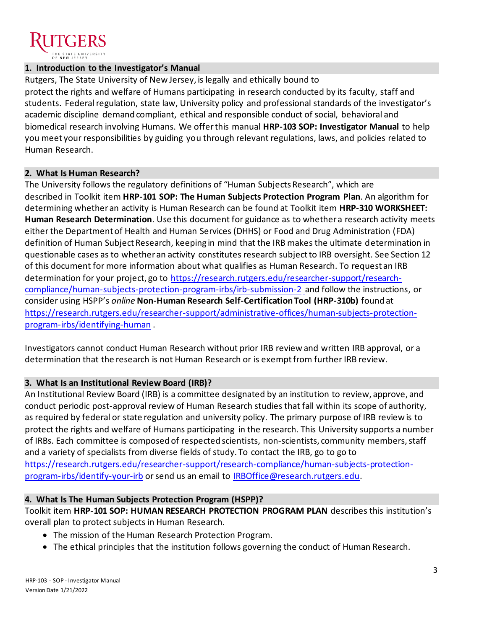

## **1. Introduction to the Investigator's Manual**

Rutgers, The State University of New Jersey, is legally and ethically bound to protect the rights and welfare of Humans participating in research conducted by its faculty, staff and students. Federal regulation, state law, University policy and professional standards of the investigator's academic discipline demand compliant, ethical and responsible conduct of social, behavioral and biomedical research involving Humans. We offer this manual **HRP-103 SOP: Investigator Manual** to help you meet your responsibilities by guiding you through relevant regulations, laws, and policies related to Human Research.

## **2. What Is Human Research?**

The University follows the regulatory definitions of "Human Subjects Research", which are described in Toolkit item **HRP-101 SOP: The Human Subjects Protection Program Plan**. An algorithm for determining whether an activity is Human Research can be found at Toolkit item **HRP-310 WORKSHEET: Human Research Determination**. Use this document for guidance as to whether a research activity meets either the Department of Health and Human Services (DHHS) or Food and Drug Administration (FDA) definition of Human Subject Research, keeping in mind that the IRB makes the ultimate determination in questionable cases as to whether an activity constitutes research subject to IRB oversight. See Section 12 of this document for more information about what qualifies as Human Research. To request an IRB determination for your project, go to [https://research.rutgers.edu/researcher-support/research](https://research.rutgers.edu/researcher-support/research-compliance/human-subjects-protection-program-irbs/irb-submission-2)[compliance/human-subjects-protection-program-irbs/irb-submission-2](https://research.rutgers.edu/researcher-support/research-compliance/human-subjects-protection-program-irbs/irb-submission-2) and follow the instructions, or consider using HSPP's *online* **Non-Human Research Self-Certification Tool (HRP-310b)** found at [https://research.rutgers.edu/researcher-support/administrative-offices/human-subjects-protection](https://research.rutgers.edu/researcher-support/administrative-offices/human-subjects-protection-program-irbs/identifying-human)[program-irbs/identifying-human](https://research.rutgers.edu/researcher-support/administrative-offices/human-subjects-protection-program-irbs/identifying-human) .

Investigators cannot conduct Human Research without prior IRB review and written IRB approval, or a determination that the research is not Human Research or is exempt from further IRB review.

## **3. What Is an Institutional Review Board (IRB)?**

An Institutional Review Board (IRB) is a committee designated by an institution to review, approve, and conduct periodic post-approval review of Human Research studies that fall within its scope of authority, as required by federal or state regulation and university policy. The primary purpose of IRB review is to protect the rights and welfare of Humans participating in the research. This University supports a number of IRBs. Each committee is composed of respected scientists, non-scientists, community members, staff and a variety of specialists from diverse fields of study. To contact the IRB, go to go to [https://research.rutgers.edu/researcher-support/research-compliance/human-subjects-protection](https://research.rutgers.edu/researcher-support/research-compliance/human-subjects-protection-program-irbs/identify-your-irb)[program-irbs/identify-your-irb](https://research.rutgers.edu/researcher-support/research-compliance/human-subjects-protection-program-irbs/identify-your-irb) or send us an email to [IRBOffice@research.rutgers.edu](mailto:IRBOffice@research.rutgers.edu).

# **4. What Is The Human Subjects Protection Program (HSPP)?**

Toolkit item **HRP-101 SOP: HUMAN RESEARCH PROTECTION PROGRAM PLAN** describes this institution's overall plan to protect subjects in Human Research.

- The mission of the Human Research Protection Program.
- The ethical principles that the institution follows governing the conduct of Human Research.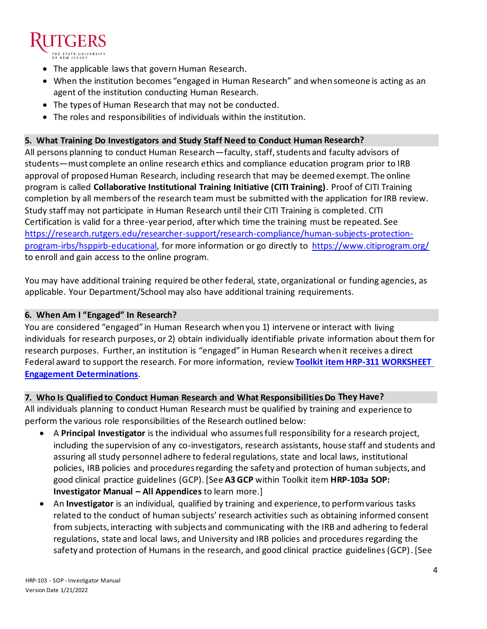

- The applicable laws that govern Human Research.
- When the institution becomes "engaged in Human Research" and when someone is acting as an agent of the institution conducting Human Research.
- The types of Human Research that may not be conducted.
- The roles and responsibilities of individuals within the institution.

#### **5. What Training Do Investigators and Study Staff Need to Conduct Human Research?**

All persons planning to conduct Human Research—faculty, staff, students and faculty advisors of students—must complete an online research ethics and compliance education program prior to IRB approval of proposed Human Research, including research that may be deemed exempt. The online program is called **Collaborative Institutional Training Initiative (CITI Training)**. Proof of CITI Training completion by all members of the research team must be submitted with the application for IRB review. Study staff may not participate in Human Research until their CITI Training is completed. CITI Certification is valid for a three-year period, after which time the training must be repeated. See [https://research.rutgers.edu/researcher-support/research-compliance/human-subjects-protection](https://research.rutgers.edu/researcher-support/research-compliance/human-subjects-protection-program-irbs/hsppirb-educational)[program-irbs/hsppirb-educational,](https://research.rutgers.edu/researcher-support/research-compliance/human-subjects-protection-program-irbs/hsppirb-educational) for more information or go directly to<https://www.citiprogram.org/> to enroll and gain access to the online program.

You may have additional training required be other federal, state, organizational or funding agencies, as applicable. Your Department/School may also have additional training requirements.

#### **6. When Am I "Engaged" In Research?**

You are considered "engaged" in Human Research when you 1) intervene or interact with living individuals for research purposes, or 2) obtain individually identifiable private information about them for research purposes. Further, an institution is "engaged" in Human Research when it receives a direct Federal award to support the research. For more information, review **Toolkit item HRP-311 [WORKSHEET](https://research.rutgers.edu/researcher-support/research-compliance/human-subjects-protection-program-toolkit)  [Engagement Determinations](https://research.rutgers.edu/researcher-support/research-compliance/human-subjects-protection-program-toolkit)**.

## **7. Who Is Qualified to Conduct Human Research and What Responsibilities Do They Have?**

All individuals planning to conduct Human Research must be qualified by training and experience to perform the various role responsibilities of the Research outlined below:

- A **Principal Investigator** is the individual who assumes full responsibility for a research project, including the supervision of any co-investigators, research assistants, house staff and students and assuring all study personnel adhere to federal regulations, state and local laws, institutional policies, IRB policies and procedures regarding the safety and protection of human subjects, and good clinical practice guidelines (GCP).[See **A3 GCP** within Toolkit item **HRP-103a SOP: Investigator Manual – All Appendices** to learn more.]
- An **Investigator** is an individual, qualified by training and experience, to perform various tasks related to the conduct of human subjects' research activities such as obtaining informed consent from subjects, interacting with subjects and communicating with the IRB and adhering to federal regulations, state and local laws, and University and IRB policies and procedures regarding the safety and protection of Humans in the research, and good clinical practice guidelines (GCP).[See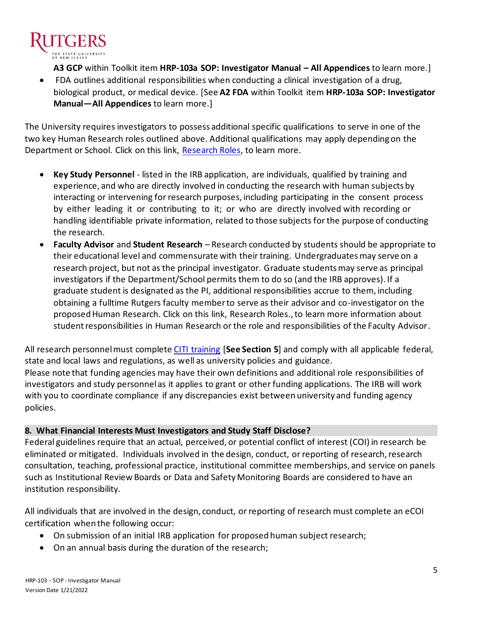

**A3 GCP** within Toolkit item **HRP-103a SOP: Investigator Manual – All Appendices** to learn more.]

• FDA outlines additional responsibilities when conducting a clinical investigation of a drug, biological product, or medical device. [See **A2 FDA** within Toolkit item **HRP-103a SOP: Investigator Manual—All Appendices** to learn more.]

The University requires investigators to possess additional specific qualifications to serve in one of the two key Human Research roles outlined above. Additional qualifications may apply depending on the Department or School. Click on this link, [Research Roles,](https://research.rutgers.edu/researcher-support/administrative-offices/human-subjects-protection-program-irbs/research-roles) to learn more.

- **Key Study Personnel**  listed in the IRB application, are individuals, qualified by training and experience, and who are directly involved in conducting the research with human subjects by interacting or intervening for research purposes, including participating in the consent process by either leading it or contributing to it; or who are directly involved with recording or handling identifiable private information, related to those subjects for the purpose of conducting the research.
- **Faculty Advisor** and **Student Research**  Research conducted by students should be appropriate to their educational level and commensurate with their training. Undergraduates may serve on a research project, but not as the principal investigator. Graduate students may serve as principal investigators if the Department/School permits them to do so (and the IRB approves). If a graduate student is designated as the PI, additional responsibilities accrue to them, including obtaining a fulltime Rutgers faculty member to serve as their advisor and co-investigator on the proposed Human Research. Click on this link, Research Roles., to learn more information about student responsibilities in Human Research or the role and responsibilities of the Faculty Advisor.

All research personnel must complet[e CITI training](https://research.rutgers.edu/researcher-support/research-compliance/human-subjects-protection-program-irbs/hsppirb-educational) [**See Section 5**] and comply with all applicable federal, state and local laws and regulations, as well as university policies and guidance. Please note that funding agencies may have their own definitions and additional role responsibilities of investigators and study personnel as it applies to grant or other funding applications. The IRB will work with you to coordinate compliance if any discrepancies exist between university and funding agency policies.

## **8. What Financial Interests Must Investigators and Study Staff Disclose?**

Federal guidelines require that an actual, perceived, or potential conflict of interest (COI) in research be eliminated or mitigated. Individuals involved in the design, conduct, or reporting of research, research consultation, teaching, professional practice, institutional committee memberships, and service on panels such as Institutional Review Boards or Data and Safety Monitoring Boards are considered to have an institution responsibility.

All individuals that are involved in the design, conduct, or reporting of research must complete an eCOI certification when the following occur:

- On submission of an initial IRB application for proposed human subject research;
- On an annual basis during the duration of the research;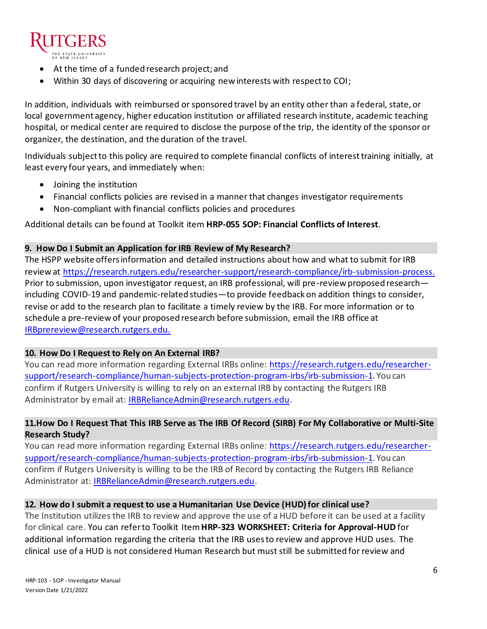

- At the time of a funded research project; and
- Within 30 days of discovering or acquiring new interests with respect to COI;

In addition, individuals with reimbursed or sponsored travel by an entity other than a federal, state, or local government agency, higher education institution or affiliated research institute, academic teaching hospital, or medical center are required to disclose the purpose of the trip, the identity of the sponsor or organizer, the destination, and the duration of the travel.

Individuals subject to this policy are required to complete financial conflicts of interest training initially, at least every four years, and immediately when:

- Joining the institution
- Financial conflicts policies are revised in a manner that changes investigator requirements
- Non-compliant with financial conflicts policies and procedures

Additional details can be found at Toolkit item **HRP-055 SOP: Financial Conflicts of Interest**.

## **9. How Do I Submit an Application for IRB Review of My Research?**

The HSPP website offers information and detailed instructions about how and what to submit for IRB review at<https://research.rutgers.edu/researcher-support/research-compliance/irb-submission-process>. Prior to submission, upon investigator request, an IRB professional, will pre-review proposed research including COVID-19 and pandemic-related studies—to provide feedback on addition things to consider, revise or add to the research plan to facilitate a timely review by the IRB. For more information or to schedule a pre-review of your proposed research before submission, email the IRB office at [IRBprereview@research.rutgers.edu.](mailto:IRBprereview@research.rutgers.edu)

## **10. How Do I Request to Rely on An External IRB?**

You can read more information regarding External IRBs online: [https://research.rutgers.edu/researcher](https://research.rutgers.edu/researcher-support/research-compliance/human-subjects-protection-program-irbs/irb-submission-1)[support/research-compliance/human-subjects-protection-program-irbs/irb-submission-1](https://research.rutgers.edu/researcher-support/research-compliance/human-subjects-protection-program-irbs/irb-submission-1). You can confirm if Rutgers University is willing to rely on an external IRB by contacting the Rutgers IRB Administrator by email at: [IRBRelianceAdmin@research.rutgers.edu.](mailto:IRBRelianceAdmin@research.rutgers.edu)

# **11.How Do I Request That This IRB Serve as The IRB Of Record (SIRB) For My Collaborative or Multi-Site Research Study?**

You can read more information regarding External IRBs online: [https://research.rutgers.edu/researcher](https://research.rutgers.edu/researcher-support/research-compliance/human-subjects-protection-program-irbs/irb-submission-1)[support/research-compliance/human-subjects-protection-program-irbs/irb-submission-1](https://research.rutgers.edu/researcher-support/research-compliance/human-subjects-protection-program-irbs/irb-submission-1). You can confirm if Rutgers University is willing to be the IRB of Record by contacting the Rutgers IRB Reliance Administrator at: [IRBRelianceAdmin@research.rutgers.edu.](mailto:IRBRelianceAdmin@research.rutgers.edu)

## **12. How do I submit a request to use a Humanitarian Use Device (HUD) for clinical use?**

The Institution utilizes the IRB to review and approve the use of a HUD before it can be used at a facility for clinical care. You can refer to Toolkit Item **HRP-323 WORKSHEET: Criteria for Approval-HUD** for additional information regarding the criteria that the IRB uses to review and approve HUD uses. The clinical use of a HUD is not considered Human Research but must still be submitted for review and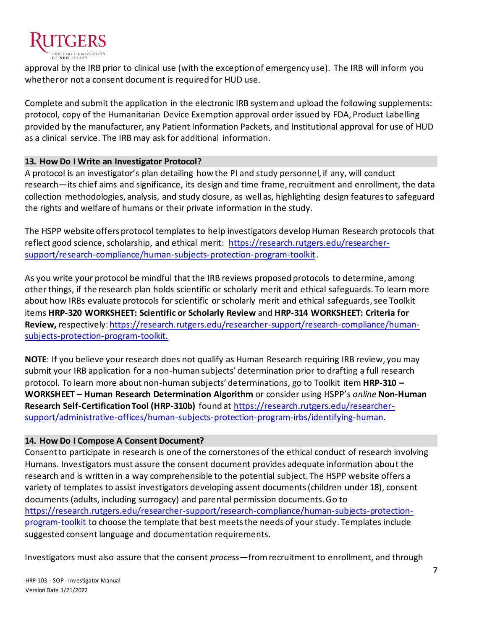

approval by the IRB prior to clinical use (with the exception of emergency use). The IRB will inform you whether or not a consent document is required for HUD use.

Complete and submit the application in the electronic IRB system and upload the following supplements: protocol, copy of the Humanitarian Device Exemption approval order issued by FDA, Product Labelling provided by the manufacturer, any Patient Information Packets, and Institutional approval for use of HUD as a clinical service. The IRB may ask for additional information.

## **13. How Do I Write an Investigator Protocol?**

A protocol is an investigator's plan detailing how the PI and study personnel, if any, will conduct research—its chief aims and significance, its design and time frame, recruitment and enrollment, the data collection methodologies, analysis, and study closure, as well as, highlighting design features to safeguard the rights and welfare of humans or their private information in the study.

The HSPP website offers protocol templates to help investigators develop Human Research protocols that reflect good science, scholarship, and ethical merit: [https://research.rutgers.edu/researcher](https://research.rutgers.edu/researcher-support/research-compliance/human-subjects-protection-program-toolkit)[support/research-compliance/human-subjects-protection-program-toolkit](https://research.rutgers.edu/researcher-support/research-compliance/human-subjects-protection-program-toolkit).

As you write your protocol be mindful that the IRB reviews proposed protocols to determine, among other things, if the research plan holds scientific or scholarly merit and ethical safeguards. To learn more about how IRBs evaluate protocols for scientific or scholarly merit and ethical safeguards, see Toolkit items **HRP-320 WORKSHEET: Scientific or Scholarly Review** and **HRP-314 WORKSHEET: Criteria for Review,** respectively[: https://research.rutgers.edu/researcher-support/research-compliance/human](https://research.rutgers.edu/researcher-support/research-compliance/human-subjects-protection-program-toolkit.)[subjects-protection-program-toolkit.](https://research.rutgers.edu/researcher-support/research-compliance/human-subjects-protection-program-toolkit.)

**NOTE**: If you believe your research does not qualify as Human Research requiring IRB review, you may submit your IRB application for a non-human subjects' determination prior to drafting a full research protocol. To learn more about non-human subjects' determinations, go to Toolkit item **HRP-310 – WORKSHEET – Human Research Determination Algorithm** or consider using HSPP's *online* **Non-Human Research Self-Certification Tool (HRP-310b)** found at [https://research.rutgers.edu/researcher](https://research.rutgers.edu/researcher-support/administrative-offices/human-subjects-protection-program-irbs/identifying-human)[support/administrative-offices/human-subjects-protection-program-irbs/identifying-human](https://research.rutgers.edu/researcher-support/administrative-offices/human-subjects-protection-program-irbs/identifying-human).

# **14. How Do I Compose A Consent Document?**

Consent to participate in research is one of the cornerstones of the ethical conduct of research involving Humans. Investigators must assure the consent document provides adequate information about the research and is written in a way comprehensible to the potential subject. The HSPP website offers a variety of templates to assist investigators developing assent documents (children under 18), consent documents (adults, including surrogacy) and parental permission documents. Go to [https://research.rutgers.edu/researcher-support/research-compliance/human-subjects-protection](https://research.rutgers.edu/researcher-support/research-compliance/human-subjects-protection-program-toolkit)[program-toolkit](https://research.rutgers.edu/researcher-support/research-compliance/human-subjects-protection-program-toolkit) to choose the template that best meets the needs of your study. Templates include suggested consent language and documentation requirements.

Investigators must also assure that the consent *process—*from recruitment to enrollment, and through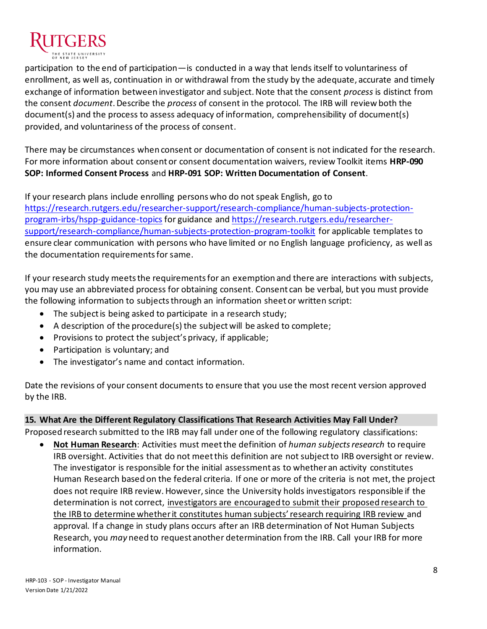

participation to the end of participation—is conducted in a way that lends itself to voluntariness of enrollment, as well as, continuation in or withdrawal from the study by the adequate, accurate and timely exchange of information between investigator and subject. Note that the consent *process* is distinct from the consent *document*. Describe the *process* of consent in the protocol. The IRB will review both the document(s) and the process to assess adequacy of information, comprehensibility of document(s) provided, and voluntariness of the process of consent.

There may be circumstances when consent or documentation of consent is not indicated for the research. For more information about consent or consent documentation waivers, review Toolkit items **HRP-090 SOP: Informed Consent Process** and **HRP-091 SOP: Written Documentation of Consent**.

If your research plans include enrolling persons who do not speak English, go to [https://research.rutgers.edu/researcher-support/research-compliance/human-subjects-protection](https://research.rutgers.edu/researcher-support/research-compliance/human-subjects-protection-program-irbs/hspp-guidance-topics)[program-irbs/hspp-guidance-topics](https://research.rutgers.edu/researcher-support/research-compliance/human-subjects-protection-program-irbs/hspp-guidance-topics) for guidance an[d https://research.rutgers.edu/researcher](https://research.rutgers.edu/researcher-support/research-compliance/human-subjects-protection-program-toolkit)[support/research-compliance/human-subjects-protection-program-toolkit](https://research.rutgers.edu/researcher-support/research-compliance/human-subjects-protection-program-toolkit) for applicable templates to ensure clear communication with persons who have limited or no English language proficiency, as well as the documentation requirements for same.

If your research study meets the requirements for an exemption and there are interactions with subjects, you may use an abbreviated process for obtaining consent. Consent can be verbal, but you must provide the following information to subjects through an information sheet or written script:

- The subject is being asked to participate in a research study;
- A description of the procedure(s) the subjectwill be asked to complete;
- Provisions to protect the subject's privacy, if applicable;
- Participation is voluntary; and
- The investigator's name and contact information.

Date the revisions of your consent documents to ensure that you use the most recent version approved by the IRB.

# **15. What Are the Different Regulatory Classifications That Research Activities May Fall Under?**

Proposed research submitted to the IRB may fall under one of the following regulatory classifications:

**Not Human Research**: Activities must meet the definition of *human subjects research* to require IRB oversight. Activities that do not meet this definition are not subject to IRB oversight or review. The investigator is responsible for the initial assessment as to whether an activity constitutes Human Research based on the federal criteria. If one or more of the criteria is not met, the project does not require IRB review. However, since the University holds investigators responsible if the determination is not correct, investigators are encouraged to submit their proposed research to the IRB to determine whether it constitutes human subjects' research requiring IRB review and approval. If a change in study plans occurs after an IRB determination of Not Human Subjects Research, you *may* need to request another determination from the IRB. Call your IRB for more information.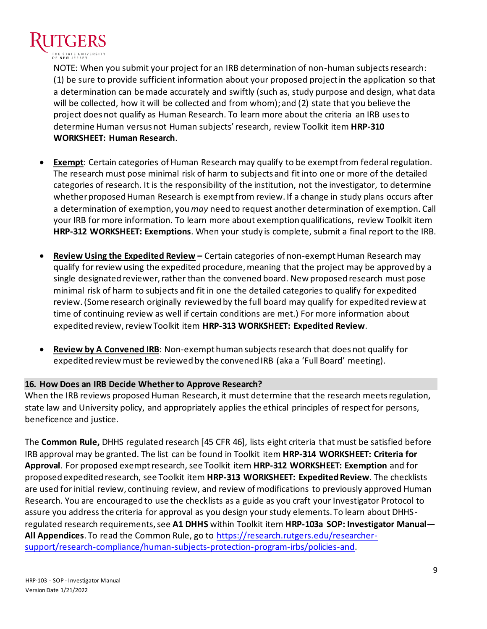

NOTE: When you submit your project for an IRB determination of non-human subjects research: (1) be sure to provide sufficient information about your proposed project in the application so that a determination can be made accurately and swiftly (such as, study purpose and design, what data will be collected, how it will be collected and from whom); and (2) state that you believe the project does not qualify as Human Research. To learn more about the criteria an IRB usesto determine Human versus not Human subjects' research, review Toolkit item **HRP-310 WORKSHEET: Human Research**.

- **Exempt**: Certain categories of Human Research may qualify to be exempt from federal regulation. The research must pose minimal risk of harm to subjects and fit into one or more of the detailed categories of research. It is the responsibility of the institution, not the investigator, to determine whether proposed Human Research is exempt from review. If a change in study plans occurs after a determination of exemption, you *may* need to request another determination of exemption. Call your IRB for more information. To learn more about exemption qualifications, review Toolkit item **HRP-312 WORKSHEET: Exemptions**. When your study is complete, submit a final report to the IRB.
- **Review Using the Expedited Review –** Certain categories of non-exempt Human Research may qualify for review using the expedited procedure, meaning that the project may be approved by a single designated reviewer, rather than the convened board. New proposed research must pose minimal risk of harm to subjects and fit in one the detailed categories to qualify for expedited review. (Some research originally reviewed by the full board may qualify for expedited review at time of continuing review as well if certain conditions are met.) For more information about expedited review,review Toolkit item **HRP-313 WORKSHEET: Expedited Review**.
- **Review by A Convened IRB**: Non-exempt human subjects research that does not qualify for expedited review must be reviewed by the convened IRB (aka a 'Full Board' meeting).

## **16. How Does an IRB Decide Whether to Approve Research?**

When the IRB reviews proposed Human Research, it must determine that the research meets regulation, state law and University policy, and appropriately applies the ethical principles of respect for persons, beneficence and justice.

The **Common Rule,** DHHS regulated research [45 CFR 46], lists eight criteria that must be satisfied before IRB approval may be granted. The list can be found in Toolkit item **HRP-314 WORKSHEET: Criteria for Approval**. For proposed exempt research, see Toolkit item **HRP-312 WORKSHEET: Exemption** and for proposed expedited research, see Toolkit item **HRP-313 WORKSHEET: Expedited Review**. The checklists are used for initial review, continuing review, and review of modifications to previously approved Human Research. You are encouraged to use the checklists as a guide as you craft your Investigator Protocol to assure you address the criteria for approval as you design your study elements. To learn about DHHSregulated research requirements, see **A1 DHHS** within Toolkit item **HRP-103a SOP: Investigator Manual— All Appendices**. To read the Common Rule, go to [https://research.rutgers.edu/researcher](https://research.rutgers.edu/researcher-support/research-compliance/human-subjects-protection-program-irbs/policies-and)[support/research-compliance/human-subjects-protection-program-irbs/policies-and](https://research.rutgers.edu/researcher-support/research-compliance/human-subjects-protection-program-irbs/policies-and).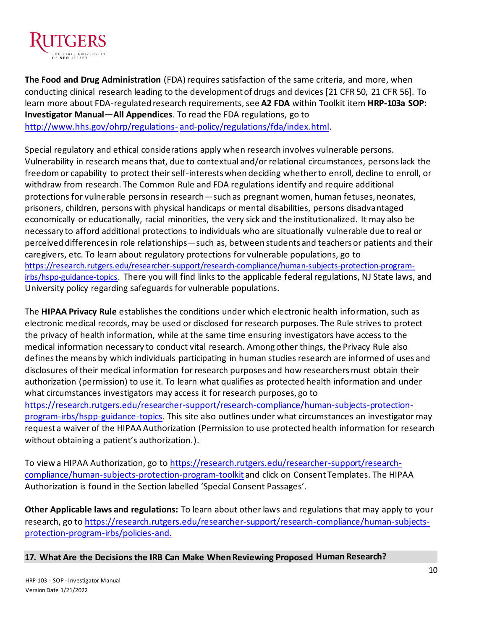

**The Food and Drug Administration** (FDA) requires satisfaction of the same criteria, and more, when conducting clinical research leading to the development of drugs and devices [21 CFR 50, 21 CFR 56]. To learn more about FDA-regulated research requirements, see A2 FDA within Toolkit item HRP-103a SOP: **Investigator Manual—All Appendices**. To read the FDA regulations, go to [http://www.hhs.gov/ohrp/regulations-](http://www.hhs.gov/ohrp/regulations-and-policy/regulations/fda/index.html) [and-policy/regulations/fda/index.html](http://www.hhs.gov/ohrp/regulations-and-policy/regulations/fda/index.html).

Special regulatory and ethical considerations apply when research involves vulnerable persons. Vulnerability in research means that, due to contextual and/or relational circumstances, persons lack the freedom or capability to protect their self-interests when deciding whether to enroll, decline to enroll, or withdraw from research. The Common Rule and FDA regulations identify and require additional protections for vulnerable persons in research—such as pregnant women, human fetuses, neonates, prisoners, children, persons with physical handicaps or mental disabilities, persons disadvantaged economically or educationally, racial minorities, the very sick and the institutionalized. It may also be necessary to afford additional protections to individuals who are situationally vulnerable due to real or perceived differences in role relationships—such as, between students and teachers or patients and their caregivers, etc. To learn about regulatory protections for vulnerable populations, go to [https://research.rutgers.edu/researcher-support/research-compliance/human-subjects-protection-program](https://research.rutgers.edu/researcher-support/research-compliance/human-subjects-protection-program-irbs/hspp-guidance-topics)[irbs/hspp-guidance-topics.](https://research.rutgers.edu/researcher-support/research-compliance/human-subjects-protection-program-irbs/hspp-guidance-topics) There you will find links to the applicable federal regulations, NJ State laws, and University policy regarding safeguards for vulnerable populations.

The **HIPAA Privacy Rule** establishes the conditions under which electronic health information, such as electronic medical records, may be used or disclosed for research purposes. The Rule strives to protect the privacy of health information, while at the same time ensuring investigators have access to the medical information necessary to conduct vital research. Among other things, the Privacy Rule also defines the means by which individuals participating in human studies research are informed of uses and disclosures of their medical information for research purposes and how researchers must obtain their authorization (permission) to use it. To learn what qualifies as protected health information and under what circumstances investigators may access it for research purposes, go to [https://research.rutgers.edu/researcher-support/research-compliance/human-subjects-protection](https://research.rutgers.edu/researcher-support/research-compliance/human-subjects-protection-program-irbs/hspp-guidance-topics)[program-irbs/hspp-guidance-topics.](https://research.rutgers.edu/researcher-support/research-compliance/human-subjects-protection-program-irbs/hspp-guidance-topics) This site also outlines under what circumstances an investigator may request a waiver of the HIPAA Authorization (Permission to use protected health information for research without obtaining a patient's authorization.).

To view a HIPAA Authorization, go to [https://research.rutgers.edu/researcher-support/research](https://research.rutgers.edu/researcher-support/research-compliance/human-subjects-protection-program-toolkit)[compliance/human-subjects-protection-program-toolkit](https://research.rutgers.edu/researcher-support/research-compliance/human-subjects-protection-program-toolkit) and click on Consent Templates. The HIPAA Authorization is found in the Section labelled 'Special Consent Passages'.

**Other Applicable laws and regulations:** To learn about other laws and regulations that may apply to your research, go to [https://research.rutgers.edu/researcher-support/research-compliance/human-subjects](https://research.rutgers.edu/researcher-support/research-compliance/human-subjects-protection-program-irbs/policies-and.)[protection-program-irbs/policies-and.](https://research.rutgers.edu/researcher-support/research-compliance/human-subjects-protection-program-irbs/policies-and.)

**17. What Are the Decisions the IRB Can Make When Reviewing Proposed Human Research?**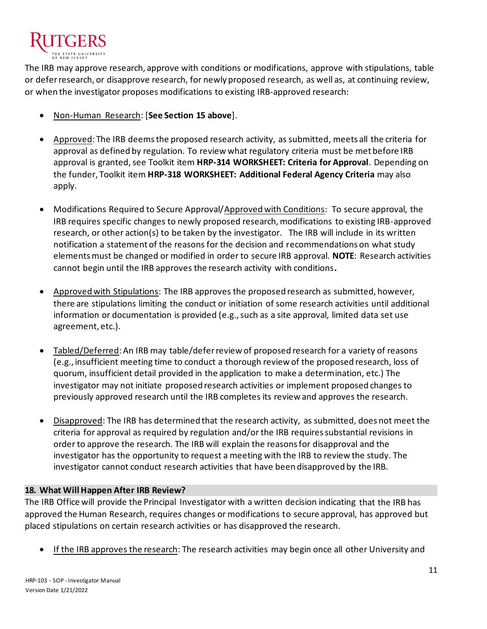

The IRB may approve research, approve with conditions or modifications, approve with stipulations, table or defer research, or disapprove research, for newly proposed research, as well as, at continuing review, or when the investigator proposes modifications to existing IRB-approved research:

- Non-Human Research: [**See Section 15 above**].
- Approved: The IRB deems the proposed research activity, as submitted, meets all the criteria for approval as defined by regulation. To review what regulatory criteria must be met before IRB approval is granted, see Toolkit item **HRP-314 WORKSHEET: Criteria for Approval**. Depending on the funder, Toolkit item **HRP-318 WORKSHEET: Additional Federal Agency Criteria** may also apply.
- Modifications Required to Secure Approval/Approved with Conditions: To secure approval, the IRB requires specific changes to newly proposed research, modifications to existing IRB-approved research, or other action(s) to be taken by the investigator. The IRB will include in its written notification a statement of the reasons for the decision and recommendations on what study elements must be changed or modified in order to secure IRB approval. **NOTE**: Research activities cannot begin until the IRB approves the research activity with conditions**.**
- Approved with Stipulations: The IRB approves the proposed research as submitted, however, there are stipulations limiting the conduct or initiation of some research activities until additional information or documentation is provided (e.g., such as a site approval, limited data set use agreement, etc.).
- Tabled/Deferred: An IRB may table/defer review of proposed research for a variety of reasons (e.g., insufficient meeting time to conduct a thorough review of the proposed research, loss of quorum, insufficient detail provided in the application to make a determination, etc.) The investigator may not initiate proposed research activities or implement proposed changes to previously approved research until the IRB completes its review and approves the research.
- Disapproved: The IRB has determined that the research activity, as submitted, does not meet the criteria for approval as required by regulation and/or the IRB requires substantial revisions in order to approve the research. The IRB will explain the reasons for disapproval and the investigator has the opportunity to request a meeting with the IRB to review the study. The investigator cannot conduct research activities that have been disapproved by the IRB.

# **18. What Will Happen After IRB Review?**

The IRB Office will provide the Principal Investigator with a written decision indicating that the IRB has approved the Human Research, requires changes or modifications to secure approval, has approved but placed stipulations on certain research activities or has disapproved the research.

• If the IRB approves the research: The research activities may begin once all other University and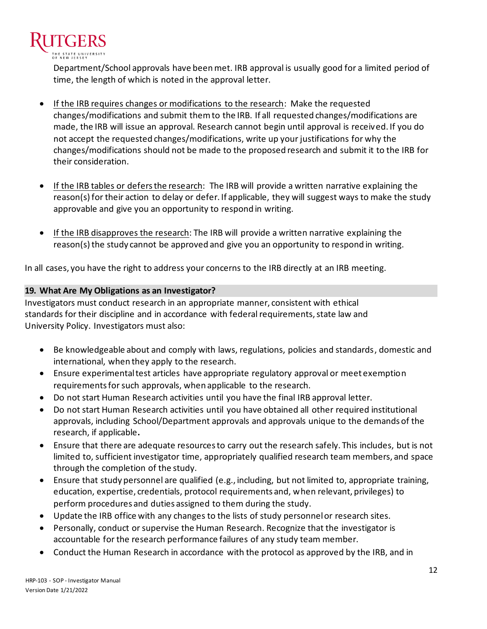

Department/School approvals have been met. IRB approval is usually good for a limited period of time, the length of which is noted in the approval letter.

- If the IRB requires changes or modifications to the research: Make the requested changes/modifications and submit them to the IRB. If all requested changes/modifications are made, the IRB will issue an approval. Research cannot begin until approval is received. If you do not accept the requested changes/modifications, write up your justifications for why the changes/modifications should not be made to the proposed research and submit it to the IRB for their consideration.
- If the IRB tables or defers the research: The IRB will provide a written narrative explaining the reason(s) for their action to delay or defer. If applicable, they will suggest ways to make the study approvable and give you an opportunity to respond in writing.
- If the IRB disapproves the research: The IRB will provide a written narrative explaining the reason(s) the study cannot be approved and give you an opportunity to respond in writing.

In all cases, you have the right to address your concerns to the IRB directly at an IRB meeting.

# **19. What Are My Obligations as an Investigator?**

Investigators must conduct research in an appropriate manner, consistent with ethical standards for their discipline and in accordance with federal requirements, state law and University Policy. Investigators must also:

- Be knowledgeable about and comply with laws, regulations, policies and standards, domestic and international, when they apply to the research.
- Ensure experimental test articles have appropriate regulatory approval or meet exemption requirements for such approvals, when applicable to the research.
- Do not start Human Research activities until you have the final IRB approval letter.
- Do not start Human Research activities until you have obtained all other required institutional approvals, including School/Department approvals and approvals unique to the demands of the research, if applicable**.**
- Ensure that there are adequate resources to carry out the research safely. This includes, but is not limited to, sufficient investigator time, appropriately qualified research team members, and space through the completion of the study.
- Ensure that study personnel are qualified (e.g., including, but not limited to, appropriate training, education, expertise, credentials, protocol requirements and, when relevant, privileges) to perform procedures and duties assigned to them during the study.
- Update the IRB office with any changes to the lists of study personnel or research sites.
- Personally, conduct or supervise the Human Research. Recognize that the investigator is accountable for the research performance failures of any study team member.
- Conduct the Human Research in accordance with the protocol as approved by the IRB, and in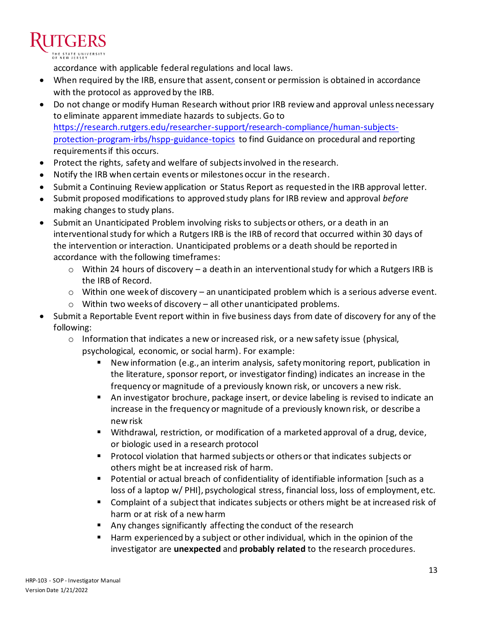accordance with applicable federal regulations and local laws.

- When required by the IRB, ensure that assent, consent or permission is obtained in accordance with the protocol as approved by the IRB.
- Do not change or modify Human Research without prior IRB review and approval unless necessary to eliminate apparent immediate hazards to subjects. Go to [https://research.rutgers.edu/researcher-support/research-compliance/human-subjects](https://research.rutgers.edu/researcher-support/research-compliance/human-subjects-protection-program-irbs/hspp-guidance-topics)[protection-program-irbs/hspp-guidance-topics](https://research.rutgers.edu/researcher-support/research-compliance/human-subjects-protection-program-irbs/hspp-guidance-topics) to find Guidance on procedural and reporting requirements if this occurs.
- Protect the rights, safety and welfare of subjects involved in the research.
- Notify the IRB when certain events or milestones occur in the research.
- Submit a Continuing Review application or Status Report as requested in the IRB approval letter.
- Submit proposed modifications to approved study plans for IRB review and approval *before*  making changes to study plans.
- Submit an Unanticipated Problem involving risks to subjects or others, or a death in an interventional study for which a Rutgers IRB is the IRB of record that occurred within 30 days of the intervention or interaction. Unanticipated problems or a death should be reported in accordance with the following timeframes:
	- o Within 24 hours of discovery a death in an interventional study for which a Rutgers IRB is the IRB of Record.
	- o Within one week of discovery an unanticipated problem which is a serious adverse event.
	- $\circ$  Within two weeks of discovery all other unanticipated problems.
- Submit a Reportable Event report within in five business days from date of discovery for any of the following:
	- $\circ$  Information that indicates a new or increased risk, or a new safety issue (physical, psychological, economic, or social harm). For example:
		- New information (e.g., an interim analysis, safety monitoring report, publication in the literature, sponsor report, or investigator finding) indicates an increase in the frequency or magnitude of a previously known risk, or uncovers a new risk.
		- An investigator brochure, package insert, or device labeling is revised to indicate an increase in the frequency or magnitude of a previously known risk, or describe a new risk
		- Withdrawal, restriction, or modification of a marketed approval of a drug, device, or biologic used in a research protocol
		- Protocol violation that harmed subjects or others or that indicates subjects or others might be at increased risk of harm.
		- Potential or actual breach of confidentiality of identifiable information [such as a loss of a laptop w/ PHI], psychological stress, financial loss, loss of employment, etc.
		- Complaint of a subject that indicates subjects or others might be at increased risk of harm or at risk of a new harm
		- Any changes significantly affecting the conduct of the research
		- Harm experienced by a subject or other individual, which in the opinion of the investigator are **unexpected** and **probably related** to the research procedures.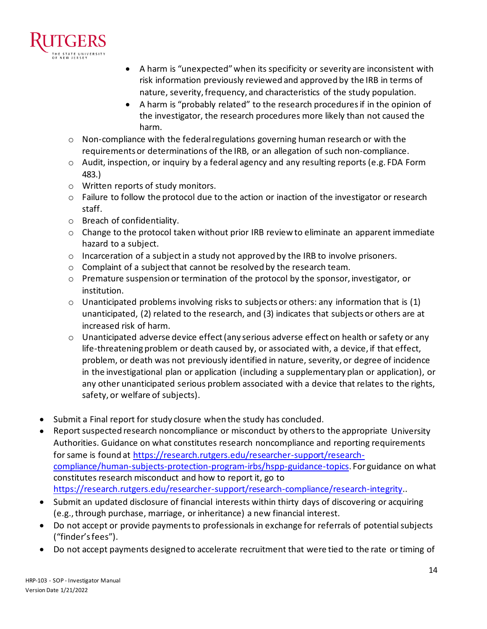

- A harm is "unexpected" when its specificity or severity are inconsistent with risk information previously reviewed and approved by the IRB in terms of nature, severity, frequency, and characteristics of the study population.
- A harm is "probably related" to the research procedures if in the opinion of the investigator, the research procedures more likely than not caused the harm.
- o Non-compliance with the federal regulations governing human research or with the requirements or determinations of the IRB, or an allegation of such non-compliance.
- $\circ$  Audit, inspection, or inquiry by a federal agency and any resulting reports (e.g. FDA Form 483.)
- o Written reports of study monitors.
- $\circ$  Failure to follow the protocol due to the action or inaction of the investigator or research staff.
- o Breach of confidentiality.
- $\circ$  Change to the protocol taken without prior IRB review to eliminate an apparent immediate hazard to a subject.
- $\circ$  Incarceration of a subject in a study not approved by the IRB to involve prisoners.
- o Complaint of a subject that cannot be resolved by the research team.
- o Premature suspension or termination of the protocol by the sponsor, investigator, or institution.
- $\circ$  Unanticipated problems involving risks to subjects or others: any information that is (1) unanticipated, (2) related to the research, and (3) indicates that subjects or others are at increased risk of harm.
- $\circ$  Unanticipated adverse device effect (any serious adverse effect on health or safety or any life-threatening problem or death caused by, or associated with, a device, if that effect, problem, or death was not previously identified in nature, severity, or degree of incidence in the investigational plan or application (including a supplementary plan or application), or any other unanticipated serious problem associated with a device that relates to the rights, safety, or welfare of subjects).
- Submit a Final report for study closure when the study has concluded.
- Report suspected research noncompliance or misconduct by others to the appropriate University Authorities. Guidance on what constitutes research noncompliance and reporting requirements for same is found at [https://research.rutgers.edu/researcher-support/research](https://research.rutgers.edu/researcher-support/research-compliance/human-subjects-protection-program-irbs/hspp-guidance-topics)[compliance/human-subjects-protection-program-irbs/hspp-guidance-topics.](https://research.rutgers.edu/researcher-support/research-compliance/human-subjects-protection-program-irbs/hspp-guidance-topics) For guidance on what constitutes research misconduct and how to report it, go to <https://research.rutgers.edu/researcher-support/research-compliance/research-integrity>..
- Submit an updated disclosure of financial interests within thirty days of discovering or acquiring (e.g., through purchase, marriage, or inheritance) a new financial interest.
- Do not accept or provide payments to professionals in exchange for referrals of potential subjects ("finder's fees").
- Do not accept payments designed to accelerate recruitment that were tied to the rate or timing of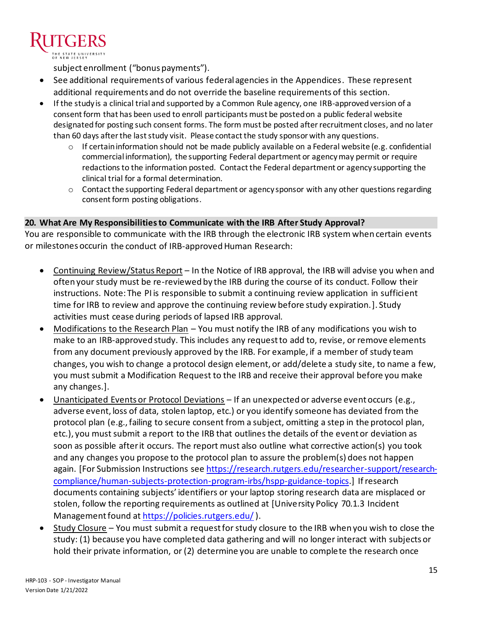subject enrollment ("bonus payments").

- See additional requirements of various federal agencies in the Appendices. These represent additional requirements and do not override the baseline requirements of this section.
- If the study is a clinical trial and supported by a Common Rule agency, one IRB-approved version of a consent form that has been used to enroll participants must be posted on a public federal website designated for posting such consent forms. The form must be posted after recruitment closes, and no later than 60 days after the last study visit. Please contact the study sponsor with any questions.
	- $\circ$  If certain information should not be made publicly available on a Federal website (e.g. confidential commercial information), the supporting Federal department or agency may permit or require redactions to the information posted. Contact the Federal department or agency supporting the clinical trial for a formal determination.
	- $\circ$  Contact the supporting Federal department or agency sponsor with any other questions regarding consent form posting obligations.

# **20. What Are My Responsibilities to Communicate with the IRB After Study Approval?**

You are responsible to communicate with the IRB through the electronic IRB system when certain events or milestones occurin the conduct of IRB-approved Human Research:

- Continuing Review/Status Report In the Notice of IRB approval, the IRB will advise you when and often your study must be re-reviewed by the IRB during the course of its conduct. Follow their instructions. Note: The PI is responsible to submit a continuing review application in sufficient time for IRB to review and approve the continuing review before study expiration.]. Study activities must cease during periods of lapsed IRB approval.
- Modifications to the Research Plan You must notify the IRB of any modifications you wish to make to an IRB-approved study. This includes any request to add to, revise, or remove elements from any document previously approved by the IRB. For example, if a member of study team changes, you wish to change a protocol design element, or add/delete a study site, to name a few, you must submit a Modification Request to the IRB and receive their approval before you make any changes.].
- Unanticipated Events or Protocol Deviations If an unexpected or adverse event occurs (e.g., adverse event, loss of data, stolen laptop, etc.) or you identify someone has deviated from the protocol plan (e.g., failing to secure consent from a subject, omitting a step in the protocol plan, etc.), you must submit a report to the IRB that outlines the details of the event or deviation as soon as possible after it occurs. The report must also outline what corrective action(s) you took and any changes you propose to the protocol plan to assure the problem(s) does not happen again. [For Submission Instructions see [https://research.rutgers.edu/researcher-support/research](https://research.rutgers.edu/researcher-support/research-compliance/human-subjects-protection-program-irbs/hspp-guidance-topics)[compliance/human-subjects-protection-program-irbs/hspp-guidance-topics.](https://research.rutgers.edu/researcher-support/research-compliance/human-subjects-protection-program-irbs/hspp-guidance-topics)] If research documents containing subjects' identifiers or your laptop storing research data are misplaced or stolen, follow the reporting requirements as outlined at [University Policy 70.1.3 Incident Management found at<https://policies.rutgers.edu/>).
- Study Closure You must submit a request for study closure to the IRB when you wish to close the study: (1) because you have completed data gathering and will no longer interact with subjects or hold their private information, or (2) determine you are unable to complete the research once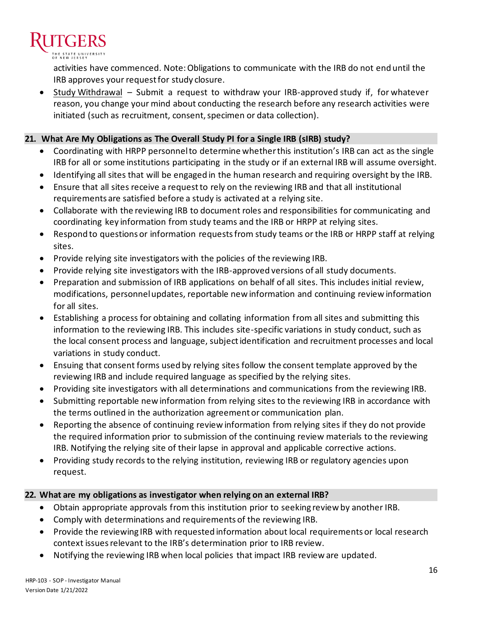

activities have commenced. Note: Obligations to communicate with the IRB do not end until the IRB approves your request for study closure.

• Study Withdrawal – Submit a request to withdraw your IRB-approved study if, for whatever reason, you change your mind about conducting the research before any research activities were initiated (such as recruitment, consent, specimen or data collection).

## **21. What Are My Obligations as The Overall Study PI for a Single IRB (sIRB) study?**

- Coordinating with HRPP personnel to determine whether this institution's IRB can act as the single IRB for all or some institutions participating in the study or if an external IRB will assume oversight.
- Identifying all sites that will be engaged in the human research and requiring oversight by the IRB.
- Ensure that all sites receive a request to rely on the reviewing IRB and that all institutional requirements are satisfied before a study is activated at a relying site.
- Collaborate with the reviewing IRB to document roles and responsibilities for communicating and coordinating key information from study teams and the IRB or HRPP at relying sites.
- Respond to questions or information requests from study teams or the IRB or HRPP staff at relying sites.
- Provide relying site investigators with the policies of the reviewing IRB.
- Provide relying site investigators with the IRB-approved versions of all study documents.
- Preparation and submission of IRB applications on behalf of all sites. This includes initial review, modifications, personnel updates, reportable new information and continuing review information for all sites.
- Establishing a process for obtaining and collating information from all sites and submitting this information to the reviewing IRB. This includes site-specific variations in study conduct, such as the local consent process and language, subject identification and recruitment processes and local variations in study conduct.
- Ensuing that consent forms used by relying sites follow the consent template approved by the reviewing IRB and include required language as specified by the relying sites.
- Providing site investigators with all determinations and communications from the reviewing IRB.
- Submitting reportable new information from relying sites to the reviewing IRB in accordance with the terms outlined in the authorization agreement or communication plan.
- Reporting the absence of continuing review information from relying sites if they do not provide the required information prior to submission of the continuing review materials to the reviewing IRB. Notifying the relying site of their lapse in approval and applicable corrective actions.
- Providing study records to the relying institution, reviewing IRB or regulatory agencies upon request.

# **22. What are my obligations as investigator when relying on an external IRB?**

- Obtain appropriate approvals from this institution prior to seeking review by another IRB.
- Comply with determinations and requirements of the reviewing IRB.
- Provide the reviewing IRB with requested information about local requirements or local research context issues relevant to the IRB's determination prior to IRB review.
- Notifying the reviewing IRB when local policies that impact IRB review are updated.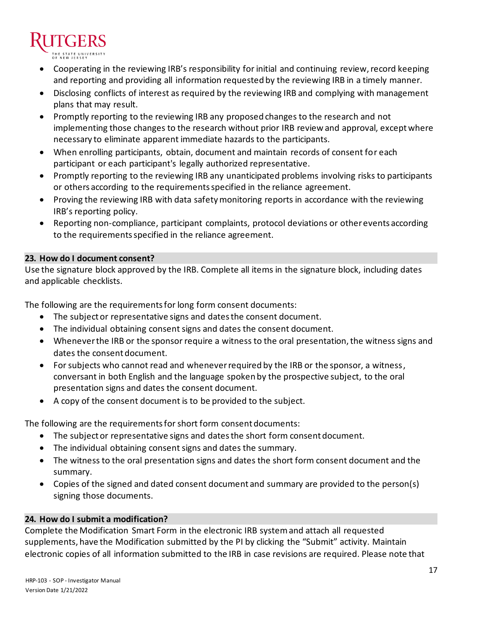- Cooperating in the reviewing IRB's responsibility for initial and continuing review, record keeping and reporting and providing all information requested by the reviewing IRB in a timely manner.
- Disclosing conflicts of interest as required by the reviewing IRB and complying with management plans that may result.
- Promptly reporting to the reviewing IRB any proposed changes to the research and not implementing those changes to the research without prior IRB review and approval, except where necessary to eliminate apparent immediate hazards to the participants.
- When enrolling participants, obtain, document and maintain records of consent for each participant or each participant's legally authorized representative.
- Promptly reporting to the reviewing IRB any unanticipated problems involving risks to participants or others according to the requirements specified in the reliance agreement.
- Proving the reviewing IRB with data safety monitoring reports in accordance with the reviewing IRB's reporting policy.
- Reporting non-compliance, participant complaints, protocol deviations or other events according to the requirements specified in the reliance agreement.

# **23. How do I document consent?**

Use the signature block approved by the IRB. Complete all items in the signature block, including dates and applicable checklists.

The following are the requirements for long form consent documents:

- The subject or representative signs and dates the consent document.
- The individual obtaining consent signs and dates the consent document.
- Whenever the IRB or the sponsor require a witness to the oral presentation, the witness signs and dates the consent document.
- For subjects who cannot read and whenever required by the IRB or the sponsor, a witness, conversant in both English and the language spoken by the prospective subject, to the oral presentation signs and dates the consent document.
- A copy of the consent document is to be provided to the subject.

The following are the requirements for short form consent documents:

- The subject or representative signs and dates the short form consent document.
- The individual obtaining consent signs and dates the summary.
- The witness to the oral presentation signs and dates the short form consent document and the summary.
- Copies of the signed and dated consent document and summary are provided to the person(s) signing those documents.

# **24. How do I submit a modification?**

Complete the Modification Smart Form in the electronic IRB system and attach all requested supplements, have the Modification submitted by the PI by clicking the "Submit" activity. Maintain electronic copies of all information submitted to the IRB in case revisions are required. Please note that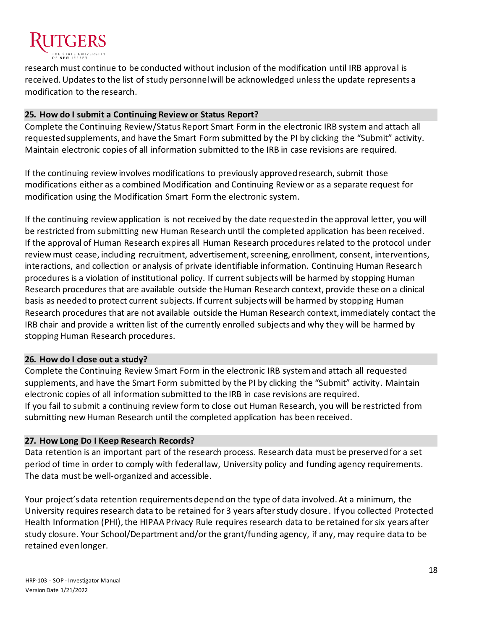

research must continue to be conducted without inclusion of the modification until IRB approval is received. Updates to the list of study personnel will be acknowledged unless the update represents a modification to the research.

## **25. How do I submit a Continuing Review or Status Report?**

Complete the Continuing Review/Status Report Smart Form in the electronic IRB system and attach all requested supplements, and have the Smart Form submitted by the PI by clicking the "Submit" activity. Maintain electronic copies of all information submitted to the IRB in case revisions are required.

If the continuing review involves modifications to previously approved research, submit those modifications either as a combined Modification and Continuing Review or as a separate request for modification using the Modification Smart Form the electronic system.

If the continuing review application is not received by the date requested in the approval letter, you will be restricted from submitting new Human Research until the completed application has been received. If the approval of Human Research expires all Human Research procedures related to the protocol under review must cease, including recruitment, advertisement, screening, enrollment, consent, interventions, interactions, and collection or analysis of private identifiable information. Continuing Human Research procedures is a violation of institutional policy. If current subjects will be harmed by stopping Human Research procedures that are available outside the Human Research context, provide these on a clinical basis as needed to protect current subjects. If current subjects will be harmed by stopping Human Research procedures that are not available outside the Human Research context, immediately contact the IRB chair and provide a written list of the currently enrolled subjects and why they will be harmed by stopping Human Research procedures.

## **26. How do I close out a study?**

Complete the Continuing Review Smart Form in the electronic IRB system and attach all requested supplements, and have the Smart Form submitted by the PI by clicking the "Submit" activity. Maintain electronic copies of all information submitted to the IRB in case revisions are required. If you fail to submit a continuing review form to close out Human Research, you will be restricted from submitting new Human Research until the completed application has been received.

## **27. How Long Do I Keep Research Records?**

Data retention is an important part of the research process. Research data must be preserved for a set period of time in order to comply with federal law, University policy and funding agency requirements. The data must be well-organized and accessible.

Your project's data retention requirements depend on the type of data involved. At a minimum, the University requires research data to be retained for 3 years after study closure. If you collected Protected Health Information (PHI), the HIPAA Privacy Rule requires research data to be retained for six years after study closure. Your School/Department and/or the grant/funding agency, if any, may require data to be retained even longer.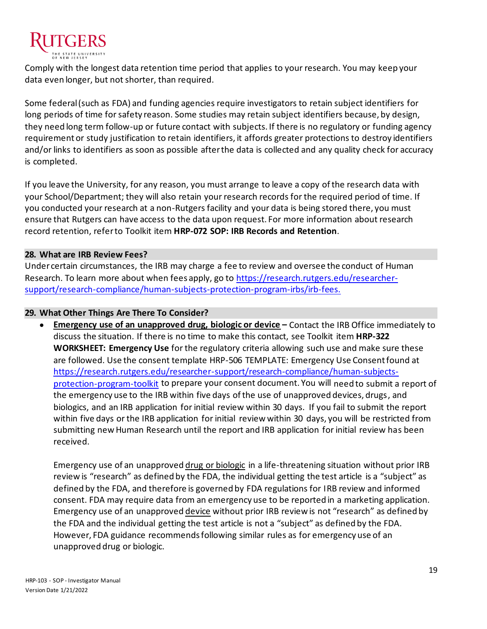

Comply with the longest data retention time period that applies to your research. You may keep your data even longer, but not shorter, than required.

Some federal (such as FDA) and funding agencies require investigators to retain subject identifiers for long periods of time for safety reason. Some studies may retain subject identifiers because, by design, they need long term follow-up or future contact with subjects. If there is no regulatory or funding agency requirement or study justification to retain identifiers, it affords greater protections to destroy identifiers and/or links to identifiers as soon as possible after the data is collected and any quality check for accuracy is completed.

If you leave the University, for any reason, you must arrange to leave a copy of the research data with your School/Department; they will also retain your research records for the required period of time. If you conducted your research at a non-Rutgers facility and your data is being stored there, you must ensure that Rutgers can have access to the data upon request. For more information about research record retention, refer to Toolkit item **HRP-072 SOP: IRB Records and Retention**.

#### **28. What are IRB Review Fees?**

Under certain circumstances, the IRB may charge a fee to review and oversee the conduct of Human Research. To learn more about when fees apply, go to [https://research.rutgers.edu/researcher](https://research.rutgers.edu/researcher-support/research-compliance/human-subjects-protection-program-irbs/irb-fees.)[support/research-compliance/human-subjects-protection-program-irbs/irb-fees.](https://research.rutgers.edu/researcher-support/research-compliance/human-subjects-protection-program-irbs/irb-fees.)

#### **29. What Other Things Are There To Consider?**

• **Emergency use of an unapproved drug, biologic or device –** Contact the IRB Office immediately to discuss the situation. If there is no time to make this contact, see Toolkit item **HRP-322 WORKSHEET: Emergency Use** for the regulatory criteria allowing such use and make sure these are followed. Use the consent template HRP-506 TEMPLATE: Emergency Use Consent found at [https://research.rutgers.edu/researcher-support/research-compliance/human-subjects](https://research.rutgers.edu/researcher-support/research-compliance/human-subjects-protection-program-toolkit)[protection-program-toolkit](https://research.rutgers.edu/researcher-support/research-compliance/human-subjects-protection-program-toolkit) to prepare your consent document. You will need to submit a report of the emergency use to the IRB within five days of the use of unapproved devices, drugs, and biologics, and an IRB application for initial review within 30 days. If you fail to submit the report within five days or the IRB application for initial review within 30 days, you will be restricted from submitting new Human Research until the report and IRB application for initial review has been received.

Emergency use of an unapproved drug or biologic in a life-threatening situation without prior IRB review is "research" as defined by the FDA, the individual getting the test article is a "subject" as defined by the FDA, and therefore is governed by FDA regulations for IRB review and informed consent. FDA may require data from an emergency use to be reported in a marketing application. Emergency use of an unapproved device without prior IRB review is not "research" as defined by the FDA and the individual getting the test article is not a "subject" as defined by the FDA. However, FDA guidance recommends following similar rules as for emergency use of an unapproved drug or biologic.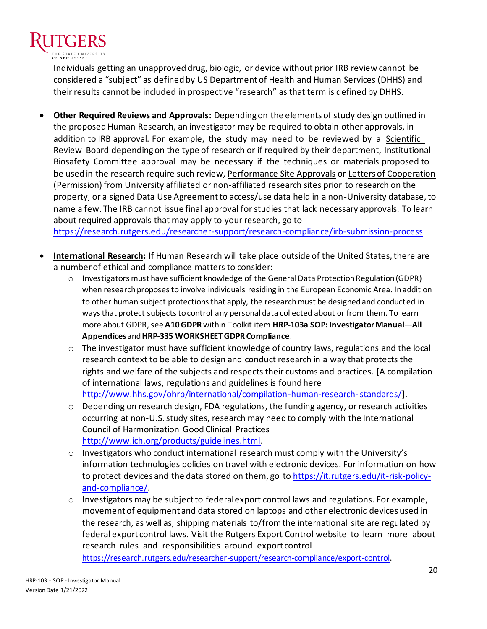

Individuals getting an unapproved drug, biologic, or device without prior IRB review cannot be considered a "subject" as defined by US Department of Health and Human Services (DHHS) and their results cannot be included in prospective "research" as that term is defined by DHHS.

• **Other Required Reviews and Approvals:** Depending on the elements of study design outlined in the proposed Human Research, an investigator may be required to obtain other approvals, in addition to IRB approval. For example, the study may need to be reviewed by a Scientific Review Board depending on the type of research or if required by their department, Institutional Biosafety Committee approval may be necessary if the techniques or materials proposed to be used in the research require such review, Performance Site Approvals or Letters of Cooperation (Permission) from University affiliated or non-affiliated research sites prior to research on the property, or a signed Data Use Agreement to access/use data held in a non-University database, to name a few. The IRB cannot issue final approval for studies that lack necessary approvals. To learn about required approvals that may apply to your research, go to

<https://research.rutgers.edu/researcher-support/research-compliance/irb-submission-process>.

- **International Research:** If Human Research will take place outside of the United States, there are a number of ethical and compliance matters to consider:
	- o Investigators must have sufficient knowledge of the General Data Protection Regulation (GDPR) when research proposes to involve individuals residing in the European Economic Area. In addition to other human subject protections that apply, the research must be designed and conducted in ways that protect subjects to control any personal data collected about or from them. To learn more about GDPR, see **A10 GDPR** within Toolkit item **HRP-103a SOP: Investigator Manual—All Appendices**and **HRP-335 WORKSHEET GDPR Compliance**.
	- $\circ$  The investigator must have sufficient knowledge of country laws, regulations and the local research context to be able to design and conduct research in a way that protects the rights and welfare of the subjects and respects their customs and practices. [A compilation of international laws, regulations and guidelines is found here [http://www.hhs.gov/ohrp/international/compilation-human-research-standards/\]](http://www.hhs.gov/ohrp/international/compilation-human-research-standards/).
	- $\circ$  Depending on research design, FDA regulations, the funding agency, or research activities occurring at non-U.S. study sites, research may need to comply with the International Council of Harmonization Good Clinical Practices [http://www.ich.org/products/guidelines.html.](http://www.ich.org/products/guidelines.html)
	- o Investigators who conduct international research must comply with the University's information technologies policies on travel with electronic devices. For information on how to protect devices and the data stored on them, go t[o https://it.rutgers.edu/it-risk-policy](https://it.rutgers.edu/it-risk-policy-and-compliance/)[and-compliance/.](https://it.rutgers.edu/it-risk-policy-and-compliance/)
	- $\circ$  Investigators may be subject to federal export control laws and regulations. For example, movement of equipment and data stored on laptops and other electronic devices used in the research, as well as, shipping materials to/from the international site are regulated by federal export control laws. Visit the Rutgers Export Control website to learn more about research rules and responsibilities around export control

<https://research.rutgers.edu/researcher-support/research-compliance/export-control>.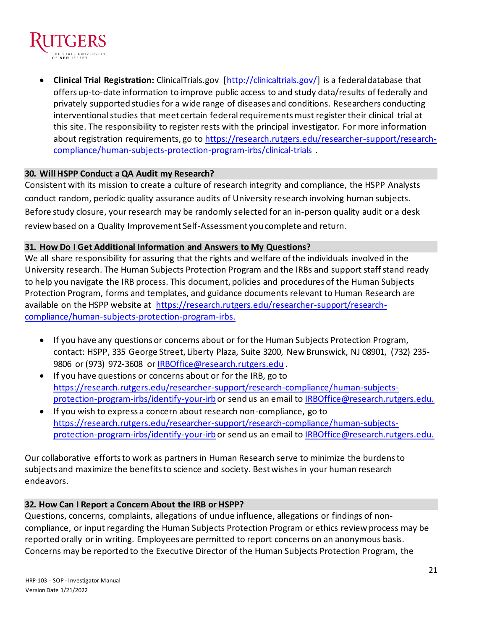

• **Clinical Trial Registration:** ClinicalTrials.gov [\[http://clinicaltrials.gov/\]](http://clinicaltrials.gov/) is a federal database that offers up-to-date information to improve public access to and study data/results of federally and privately supported studies for a wide range of diseases and conditions. Researchers conducting interventional studies that meet certain federal requirements must register their clinical trial at this site. The responsibility to register rests with the principal investigator. For more information about registration requirements, go t[o https://research.rutgers.edu/researcher-support/research](https://research.rutgers.edu/researcher-support/research-compliance/human-subjects-protection-program-irbs/clinical-trials)[compliance/human-subjects-protection-program-irbs/clinical-trials](https://research.rutgers.edu/researcher-support/research-compliance/human-subjects-protection-program-irbs/clinical-trials) .

## **30. Will HSPP Conduct a QA Audit my Research?**

Consistent with its mission to create a culture of research integrity and compliance, the HSPP Analysts conduct random, periodic quality assurance audits of University research involving human subjects. Before study closure, your research may be randomly selected for an in-person quality audit or a desk review based on a Quality Improvement Self-Assessment you complete and return.

## **31. How Do I Get Additional Information and Answers to My Questions?**

We all share responsibility for assuring that the rights and welfare of the individuals involved in the University research. The Human Subjects Protection Program and the IRBs and support staff stand ready to help you navigate the IRB process. This document, policies and procedures of the Human Subjects Protection Program, forms and templates, and guidance documents relevant to Human Research are available on the HSPP website at [https://research.rutgers.edu/researcher-support/research](https://research.rutgers.edu/researcher-support/research-compliance/human-subjects-protection-program-irbs.)[compliance/human-subjects-protection-program-irbs.](https://research.rutgers.edu/researcher-support/research-compliance/human-subjects-protection-program-irbs.)

- If you have any questions or concerns about or for the Human Subjects Protection Program, contact: HSPP, 335 George Street, Liberty Plaza, Suite 3200, New Brunswick, NJ 08901, (732) 235 9806 or (973) 972-3608 o[r IRBOffice@research.rutgers.edu](mailto:IRBOffice@research.rutgers.edu).
- If you have questions or concerns about or for the IRB, go to [https://research.rutgers.edu/researcher-support/research-compliance/human-subjects](https://research.rutgers.edu/researcher-support/research-compliance/human-subjects-protection-program-irbs/identify-your-irb)[protection-program-irbs/identify-your-irb](https://research.rutgers.edu/researcher-support/research-compliance/human-subjects-protection-program-irbs/identify-your-irb) or send us an email to [IRBOffice@research.rutgers.edu.](mailto:IRBOffice@research.rutgers.edu)
- If you wish to express a concern about research non-compliance, go to [https://research.rutgers.edu/researcher-support/research-compliance/human-subjects](https://research.rutgers.edu/researcher-support/research-compliance/human-subjects-protection-program-irbs/identify-your-irb)[protection-program-irbs/identify-your-irb](https://research.rutgers.edu/researcher-support/research-compliance/human-subjects-protection-program-irbs/identify-your-irb) or send us an email to [IRBOffice@research.rutgers.edu.](mailto:IRBOffice@research.rutgers.edu)

Our collaborative efforts to work as partners in Human Research serve to minimize the burdens to subjects and maximize the benefits to science and society. Best wishes in your human research endeavors.

## **32. How Can I Report a Concern About the IRB or HSPP?**

Questions, concerns, complaints, allegations of undue influence, allegations or findings of noncompliance, or input regarding the Human Subjects Protection Program or ethics review process may be reported orally or in writing. Employees are permitted to report concerns on an anonymous basis. Concerns may be reported to the Executive Director of the Human Subjects Protection Program, the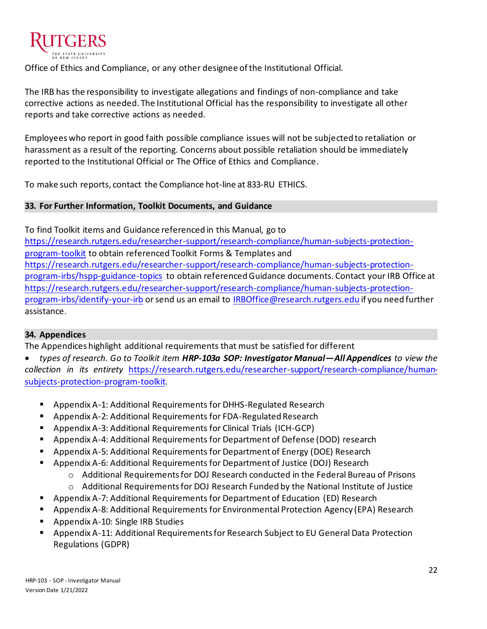

Office of Ethics and Compliance, or any other designee of the Institutional Official.

The IRB has the responsibility to investigate allegations and findings of non-compliance and take corrective actions as needed. The Institutional Official has the responsibility to investigate all other reports and take corrective actions as needed.

Employees who report in good faith possible compliance issues will not be subjected to retaliation or harassment as a result of the reporting. Concerns about possible retaliation should be immediately reported to the Institutional Official or The Office of Ethics and Compliance.

To make such reports, contact the Compliance hot-line at 833-RU ETHICS.

## **33. For Further Information, Toolkit Documents, and Guidance**

To find Toolkit items and Guidance referenced in this Manual, go to [https://research.rutgers.edu/researcher-support/research-compliance/human-subjects-protection](https://research.rutgers.edu/researcher-support/research-compliance/human-subjects-protection-program-toolkit)[program-toolkit](https://research.rutgers.edu/researcher-support/research-compliance/human-subjects-protection-program-toolkit) to obtain referenced Toolkit Forms & Templates and [https://research.rutgers.edu/researcher-support/research-compliance/human-subjects-protection](https://research.rutgers.edu/researcher-support/research-compliance/human-subjects-protection-program-irbs/hspp-guidance-topics)[program-irbs/hspp-guidance-topics](https://research.rutgers.edu/researcher-support/research-compliance/human-subjects-protection-program-irbs/hspp-guidance-topics) to obtain referenced Guidance documents. Contact your IRB Office at [https://research.rutgers.edu/researcher-support/research-compliance/human-subjects-protection](https://research.rutgers.edu/researcher-support/research-compliance/human-subjects-protection-program-irbs/identify-your-irb)[program-irbs/identify-your-irb](https://research.rutgers.edu/researcher-support/research-compliance/human-subjects-protection-program-irbs/identify-your-irb) or send us an email to [IRBOffice@research.rutgers.edu](mailto:IRBOffice@research.rutgers.edu) if you need further assistance.

# **34. Appendices**

The Appendices highlight additional requirements that must be satisfied for different

• *types of research. Go to Toolkit item HRP-103a SOP: Investigator Manual—All Appendices to view the collection in its entirety* [https://research.rutgers.edu/researcher-support/research-compliance/human](https://research.rutgers.edu/researcher-support/research-compliance/human-subjects-protection-program-toolkit)[subjects-protection-program-toolkit](https://research.rutgers.edu/researcher-support/research-compliance/human-subjects-protection-program-toolkit)*.* 

- Appendix A-1: Additional Requirements for DHHS-Regulated Research
- Appendix A-2: Additional Requirements for FDA-Regulated Research
- Appendix A-3: Additional Requirements for Clinical Trials (ICH-GCP)
- Appendix A-4: Additional Requirements for Department of Defense (DOD) research
- Appendix A-5: Additional Requirements for Department of Energy (DOE) Research
- Appendix A-6: Additional Requirements for Department of Justice (DOJ) Research
	- o Additional Requirements for DOJ Research conducted in the Federal Bureau of Prisons o Additional Requirements for DOJ Research Funded by the National Institute of Justice
- Appendix A-7: Additional Requirements for Department of Education (ED) Research
- Appendix A-8: Additional Requirements for Environmental Protection Agency (EPA) Research
- Appendix A-10: Single IRB Studies
- Appendix A-11: Additional Requirements for Research Subject to EU General Data Protection Regulations (GDPR)